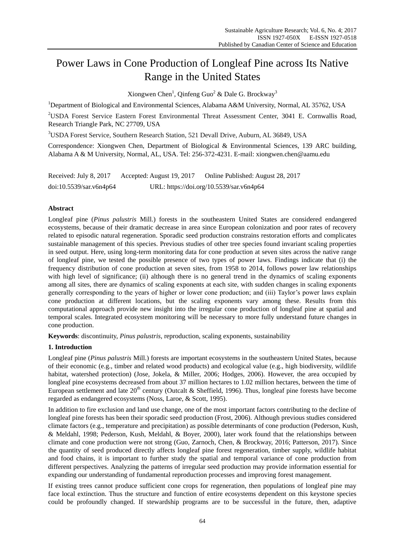# Power Laws in Cone Production of Longleaf Pine across Its Native Range in the United States

Xiongwen Chen<sup>1</sup>, Qinfeng Guo<sup>2</sup> & Dale G. Brockway<sup>3</sup>

<sup>1</sup>Department of Biological and Environmental Sciences, Alabama A&M University, Normal, AL 35762, USA

<sup>2</sup>USDA Forest Service Eastern Forest Environmental Threat Assessment Center, 3041 E. Cornwallis Road, Research Triangle Park, NC 27709, USA

<sup>3</sup>USDA Forest Service, Southern Research Station, 521 Devall Drive, Auburn, AL 36849, USA

Correspondence: Xiongwen Chen, Department of Biological & Environmental Sciences, 139 ARC building, Alabama A & M University, Normal, AL, USA. Tel: 256-372-4231. E-mail: xiongwen.chen@aamu.edu

Received: July 8, 2017 Accepted: August 19, 2017 Online Published: August 28, 2017 doi:10.5539/sar.v6n4p64 URL: https://doi.org/10.5539/sar.v6n4p64

## **Abstract**

Longleaf pine (*Pinus palustris* Mill.) forests in the southeastern United States are considered endangered ecosystems, because of their dramatic decrease in area since European colonization and poor rates of recovery related to episodic natural regeneration. Sporadic seed production constrains restoration efforts and complicates sustainable management of this species. Previous studies of other tree species found invariant scaling properties in seed output. Here, using long-term monitoring data for cone production at seven sites across the native range of longleaf pine, we tested the possible presence of two types of power laws. Findings indicate that (i) the frequency distribution of cone production at seven sites, from 1958 to 2014, follows power law relationships with high level of significance; (ii) although there is no general trend in the dynamics of scaling exponents among all sites, there are dynamics of scaling exponents at each site, with sudden changes in scaling exponents generally corresponding to the years of higher or lower cone production; and (iii) Taylor"s power laws explain cone production at different locations, but the scaling exponents vary among these. Results from this computational approach provide new insight into the irregular cone production of longleaf pine at spatial and temporal scales. Integrated ecosystem monitoring will be necessary to more fully understand future changes in cone production.

**Keywords**: discontinuity, *Pinus palustris*, reproduction, scaling exponents, sustainability

## **1. Introduction**

Longleaf pine (*Pinus palustris* Mill.) forests are important ecosystems in the southeastern United States, because of their economic (e.g., timber and related wood products) and ecological value (e.g., high biodiversity, wildlife habitat, watershed protection) (Jose, Jokela, & Miller, 2006; Hodges, 2006). However, the area occupied by longleaf pine ecosystems decreased from about 37 million hectares to 1.02 million hectares, between the time of European settlement and late  $20<sup>th</sup>$  century (Outcalt & Sheffield, 1996). Thus, longleaf pine forests have become regarded as endangered ecosystems (Noss, Laroe, & Scott, 1995).

In addition to fire exclusion and land use change, one of the most important factors contributing to the decline of longleaf pine forests has been their sporadic seed production (Frost, 2006). Although previous studies considered climate factors (e.g., temperature and precipitation) as possible determinants of cone production (Pederson, Kush, & Meldahl, 1998; Pederson, Kush, Meldahl, & Boyer, 2000), later work found that the relationships between climate and cone production were not strong (Guo, Zarnoch, Chen, & Brockway, 2016; Patterson, 2017). Since the quantity of seed produced directly affects longleaf pine forest regeneration, timber supply, wildlife habitat and food chains, it is important to further study the spatial and temporal variance of cone production from different perspectives. Analyzing the patterns of irregular seed production may provide information essential for expanding our understanding of fundamental reproduction processes and improving forest management.

If existing trees cannot produce sufficient cone crops for regeneration, then populations of longleaf pine may face local extinction. Thus the structure and function of entire ecosystems dependent on this keystone species could be profoundly changed. If stewardship programs are to be successful in the future, then, adaptive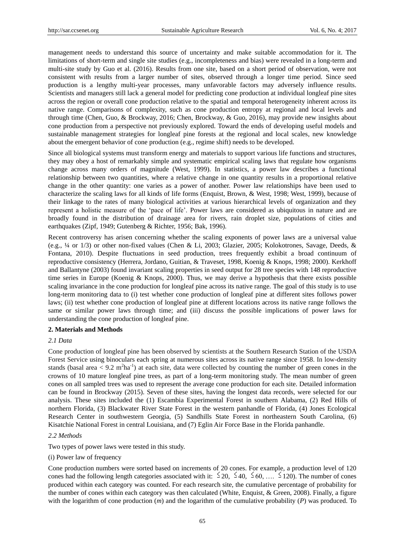management needs to understand this source of uncertainty and make suitable accommodation for it. The limitations of short-term and single site studies (e.g., incompleteness and bias) were revealed in a long-term and multi-site study by Guo et al. (2016). Results from one site, based on a short period of observation, were not consistent with results from a larger number of sites, observed through a longer time period. Since seed production is a lengthy multi-year processes, many unfavorable factors may adversely influence results. Scientists and managers still lack a general model for predicting cone production at individual longleaf pine sites across the region or overall cone production relative to the spatial and temporal heterogeneity inherent across its native range. Comparisons of complexity, such as cone production entropy at regional and local levels and through time (Chen, Guo, & Brockway, 2016; Chen, Brockway, & Guo, 2016), may provide new insights about cone production from a perspective not previously explored. Toward the ends of developing useful models and sustainable management strategies for longleaf pine forests at the regional and local scales, new knowledge about the emergent behavior of cone production (e.g., regime shift) needs to be developed.

Since all biological systems must transform energy and materials to support various life functions and structures, they may obey a host of remarkably simple and systematic empirical scaling laws that regulate how organisms change across many orders of magnitude (West, 1999). In statistics, a power law describes a functional relationship between two quantities, where a relative change in one quantity results in a proportional relative change in the other quantity: one varies as a power of another. Power law relationships have been used to characterize the scaling laws for all kinds of life forms (Enquist, Brown, & West, 1998; West, 1999), because of their linkage to the rates of many biological activities at various hierarchical levels of organization and they represent a holistic measure of the "pace of life". Power laws are considered as ubiquitous in nature and are broadly found in the distribution of drainage area for rivers, rain droplet size, populations of cities and earthquakes (Zipf, 1949; Gutenberg & Richter, 1956; Bak, 1996).

Recent controversy has arisen concerning whether the scaling exponents of power laws are a universal value (e.g., ¼ or 1/3) or other non-fixed values (Chen & Li, 2003; Glazier, 2005; Kolokotrones, Savage, Deeds, & Fontana, 2010). Despite fluctuations in seed production, trees frequently exhibit a broad continuum of reproductive consistency (Herrera, Jordano, Guitian, & Traveset, 1998, Koenig & Knops, 1998; 2000). Kerkhoff and Ballantyne (2003) found invariant scaling properties in seed output for 28 tree species with 148 reproductive time series in Europe (Koenig & Knops, 2000). Thus, we may derive a hypothesis that there exists possible scaling invariance in the cone production for longleaf pine across its native range. The goal of this study is to use long-term monitoring data to (i) test whether cone production of longleaf pine at different sites follows power laws; (ii) test whether cone production of longleaf pine at different locations across its native range follows the same or similar power laws through time; and (iii) discuss the possible implications of power laws for understanding the cone production of longleaf pine.

## **2. Materials and Methods**

## *2.1 Data*

Cone production of longleaf pine has been observed by scientists at the Southern Research Station of the USDA Forest Service using binoculars each spring at numerous sites across its native range since 1958. In low-density stands (basal area  $< 9.2$  m<sup>2</sup>ha<sup>-1</sup>) at each site, data were collected by counting the number of green cones in the crowns of 10 mature longleaf pine trees, as part of a long-term monitoring study. The mean number of green cones on all sampled trees was used to represent the average cone production for each site. Detailed information can be found in Brockway (2015). Seven of these sites, having the longest data records, were selected for our analysis. These sites included the (1) Escambia Experimental Forest in southern Alabama, (2) Red Hills of northern Florida, (3) Blackwater River State Forest in the western panhandle of Florida, (4) Jones Ecological Research Center in southwestern Georgia, (5) Sandhills State Forest in northeastern South Carolina, (6) Kisatchie National Forest in central Louisiana, and (7) Eglin Air Force Base in the Florida panhandle.

#### *2.2 Methods*

Two types of power laws were tested in this study.

#### (i) Power law of frequency

Cone production numbers were sorted based on increments of 20 cones. For example, a production level of 120 cones had the following length categories associated with it:  $\leq 20$ ,  $\leq 40$ ,  $\leq 60$ , ...  $\leq 120$ ). The number of cones produced within each category was counted. For each research site, the cumulative percentage of probability for the number of cones within each category was then calculated (White, Enquist, & Green, 2008). Finally, a figure with the logarithm of cone production (*m*) and the logarithm of the cumulative probability (*P*) was produced. To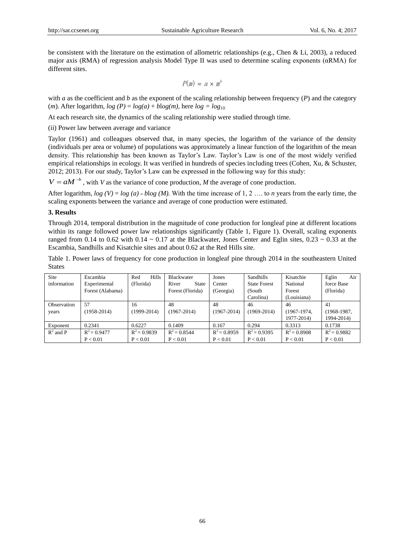be consistent with the literature on the estimation of allometric relationships (e.g., Chen & Li, 2003), a reduced major axis (RMA) of regression analysis Model Type II was used to determine scaling exponents (αRMA) for different sites.

$$
P(m) = a \times m^b
$$

with *a* as the coefficient and *b* as the exponent of the scaling relationship between frequency (*P*) and the category (*m*). After logarithm,  $log(P) = log(a) + blog(m)$ , here  $log = log_{10}$ .

At each research site, the dynamics of the scaling relationship were studied through time.

(ii) Power law between average and variance

Taylor (1961) and colleagues observed that, in many species, the logarithm of the variance of the density (individuals per area or volume) of populations was approximately a linear function of the logarithm of the mean density. This relationship has been known as Taylor"s Law. Taylor"s Law is one of the most widely verified empirical relationships in ecology. It was verified in hundreds of species including trees (Cohen, Xu, & Schuster, 2012; 2013). For our study, Taylor"s Law can be expressed in the following way for this study:

 $V = aM^{-b}$ , with *V* as the variance of cone production, *M* the average of cone production.

After logarithm,  $log (V) = log (a) - blog (M)$ . With the time increase of 1, 2 ... to *n* years from the early time, the scaling exponents between the variance and average of cone production were estimated.

#### **3. Results**

Through 2014, temporal distribution in the magnitude of cone production for longleaf pine at different locations within its range followed power law relationships significantly (Table 1, Figure 1). Overall, scaling exponents ranged from 0.14 to 0.62 with 0.14  $\sim$  0.17 at the Blackwater, Jones Center and Eglin sites, 0.23  $\sim$  0.33 at the Escambia, Sandhills and Kisatchie sites and about 0.62 at the Red Hills site.

Table 1. Power laws of frequency for cone production in longleaf pine through 2014 in the southeastern United States

| Site        | Escambia         | <b>Hills</b><br>Red | Blackwater            | Jones           | Sandhills           | Kisatchie      | Air<br>Eglin   |
|-------------|------------------|---------------------|-----------------------|-----------------|---------------------|----------------|----------------|
| information | Experimental     | (Florida)           | River<br><b>State</b> | Center          | <b>State Forest</b> | National       | force Base     |
|             | Forest (Alabama) |                     | Forest (Florida)      | (Georgia)       | (South)             | Forest         | (Florida)      |
|             |                  |                     |                       |                 | Carolina)           | (Louisiana)    |                |
| Observation | 57               | 16                  | 48                    | 48              | 46                  | 46             | 41             |
| years       | $(1958 - 2014)$  | $(1999-2014)$       | $(1967 - 2014)$       | $(1967 - 2014)$ | $(1969 - 2014)$     | $(1967-1974,$  | $(1968-1987,$  |
|             |                  |                     |                       |                 |                     | 1977-2014)     | 1994-2014)     |
| Exponent    | 0.2341           | 0.6227              | 0.1409                | 0.167           | 0.294               | 0.3313         | 0.1738         |
| $R^2$ and P | $R^2 = 0.9477$   | $R^2 = 0.9839$      | $R^2 = 0.8544$        | $R^2 = 0.8959$  | $R^2 = 0.9395$      | $R^2 = 0.8908$ | $R^2 = 0.9882$ |
|             | P < 0.01         | P < 0.01            | P < 0.01              | P < 0.01        | P < 0.01            | P < 0.01       | P < 0.01       |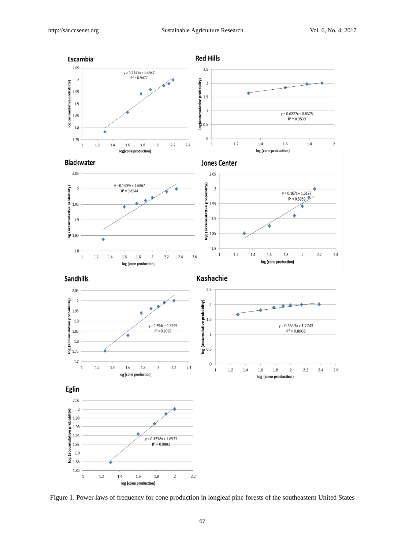

Figure 1. Power laws of frequency for cone production in longleaf pine forests of the southeastern United States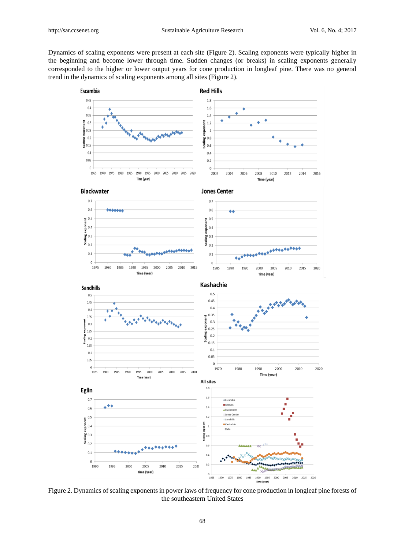Dynamics of scaling exponents were present at each site (Figure 2). Scaling exponents were typically higher in the beginning and become lower through time. Sudden changes (or breaks) in scaling exponents generally corresponded to the higher or lower output years for cone production in longleaf pine. There was no general trend in the dynamics of scaling exponents among all sites (Figure 2).



Figure 2. Dynamics of scaling exponents in power laws of frequency for cone production in longleaf pine forests of the southeastern United States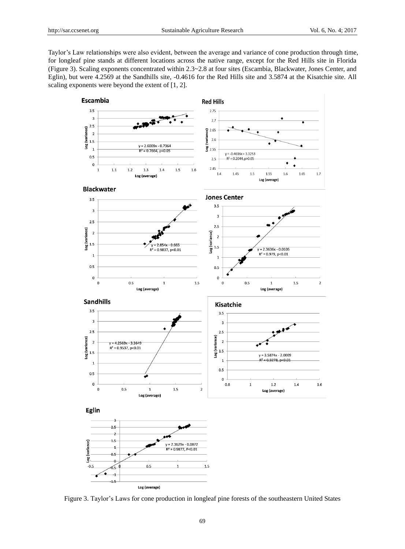Taylor"s Law relationships were also evident, between the average and variance of cone production through time, for longleaf pine stands at different locations across the native range, except for the Red Hills site in Florida (Figure 3). Scaling exponents concentrated within 2.3~2.8 at four sites (Escambia, Blackwater, Jones Center, and Eglin), but were 4.2569 at the Sandhills site, -0.4616 for the Red Hills site and 3.5874 at the Kisatchie site. All scaling exponents were beyond the extent of [1, 2].



Figure 3. Taylor"s Laws for cone production in longleaf pine forests of the southeastern United States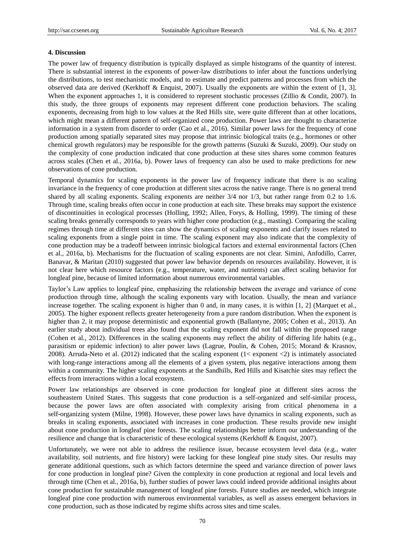#### **4. Discussion**

The power law of frequency distribution is typically displayed as simple histograms of the quantity of interest. There is substantial interest in the exponents of power-law distributions to infer about the functions underlying the distributions, to test mechanistic models, and to estimate and predict patterns and processes from which the observed data are derived (Kerkhoff & Enquist, 2007). Usually the exponents are within the extent of [1, 3]. When the exponent approaches 1, it is considered to represent stochastic processes (Zillio & Condit, 2007). In this study, the three groups of exponents may represent different cone production behaviors. The scaling exponents, decreasing from high to low values at the Red Hills site, were quite different than at other locations, which might mean a different pattern of self-organized cone production. Power laws are thought to characterize information in a system from disorder to order (Cao et al., 2016). Similar power laws for the frequency of cone production among spatially separated sites may propose that intrinsic biological traits (e.g., hormones or other chemical growth regulators) may be responsible for the growth patterns (Suzuki & Suzuki, 2009). Our study on the complexity of cone production indicated that cone production at these sites shares some common features across scales (Chen et al., 2016a, b). Power laws of frequency can also be used to make predictions for new observations of cone production.

Temporal dynamics for scaling exponents in the power law of frequency indicate that there is no scaling invariance in the frequency of cone production at different sites across the native range. There is no general trend shared by all scaling exponents. Scaling exponents are neither 3/4 nor 1/3, but rather range from 0.2 to 1.6. Through time, scaling breaks often occur in cone production at each site. These breaks may support the existence of discontinuities in ecological processes (Holling, 1992; Allen, Forys, & Holling, 1999). The timing of these scaling breaks generally corresponds to years with higher cone production (e.g., masting). Comparing the scaling regimes through time at different sites can show the dynamics of scaling exponents and clarify issues related to scaling exponents from a single point in time. The scaling exponent may also indicate that the complexity of cone production may be a tradeoff between intrinsic biological factors and external environmental factors (Chen et al., 2016a, b). Mechanisms for the fluctuation of scaling exponents are not clear. Simini, Anfodillo, Carrer, Banavar, & Maritan (2010) suggested that power law behavior depends on resources availability. However, it is not clear here which resource factors (e.g., temperature, water, and nutrients) can affect scaling behavior for longleaf pine, because of limited information about numerous environmental variables.

Taylor"s Law applies to longleaf pine, emphasizing the relationship between the average and variance of cone production through time, although the scaling exponents vary with location. Usually, the mean and variance increase together. The scaling exponent is higher than 0 and, in many cases, it is within [1, 2] (Marquet et al., 2005). The higher exponent reflects greater heterogeneity from a pure random distribution. When the exponent is higher than 2, it may propose deterministic and exponential growth (Ballantyne, 2005; Cohen et al., 2013). An earlier study about individual trees also found that the scaling exponent did not fall within the proposed range (Cohen et al., 2012). Differences in the scaling exponents may reflect the ability of differing life habits (e.g., parasitism or epidemic infection) to alter power laws (Lagrue, Poulin, & Cohen, 2015; Morand & Krasnov, 2008). Arruda-Neto et al. (2012) indicated that the scaling exponent (1< exponent <2) is intimately associated with long-range interactions among all the elements of a given system, plus negative interactions among them within a community. The higher scaling exponents at the Sandhills, Red Hills and Kisatchie sites may reflect the effects from interactions within a local ecosystem.

Power law relationships are observed in cone production for longleaf pine at different sites across the southeastern United States. This suggests that cone production is a self-organized and self-similar process, because the power laws are often associated with complexity arising from critical phenomena in a self-organizing system (Milne, 1998). However, these power laws have dynamics in scaling exponents, such as breaks in scaling exponents, associated with increases in cone production. These results provide new insight about cone production in longleaf pine forests. The scaling relationships better inform our understanding of the resilience and change that is characteristic of these ecological systems (Kerkhoff & Enquist, 2007).

Unfortunately, we were not able to address the resilience issue, because ecosystem level data (e.g., water availability, soil nutrients, and fire history) were lacking for these longleaf pine study sites. Our results may generate additional questions, such as which factors determine the speed and variance direction of power laws for cone production in longleaf pine? Given the complexity in cone production at regional and local levels and through time (Chen et al., 2016a, b), further studies of power laws could indeed provide additional insights about cone production for sustainable management of longleaf pine forests. Future studies are needed, which integrate longleaf pine cone production with numerous environmental variables, as well as assess emergent behaviors in cone production, such as those indicated by regime shifts across sites and time scales.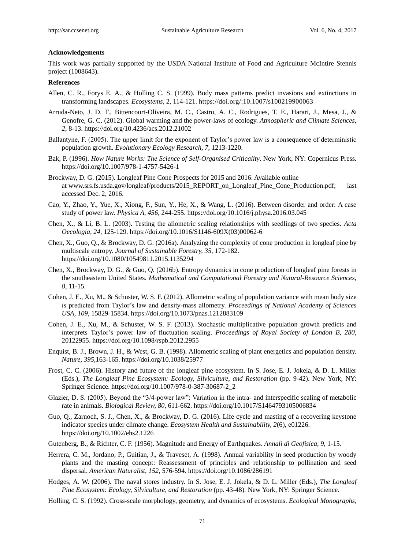#### **Acknowledgements**

This work was partially supported by the USDA National Institute of Food and Agriculture McIntire Stennis project (1008643).

### **References**

- Allen, C. R., Forys E. A., & Holling C. S. (1999). Body mass patterns predict invasions and extinctions in transforming landscapes. *Ecosystems*, 2, 114-121. https://doi.org/:10.1007/s100219900063
- Arruda-Neto, J. D. T., Bittencourt-Oliveira, M. C., Castro, A. C., Rodrigues, T. E., Harari, J., Mesa, J., & Genofre, G. C. (2012). Global warming and the power-laws of ecology. *Atmospheric and Climate Sciences, 2*, 8-13. https://doi.org/10.4236/acs.2012.21002
- Ballantyne, F. (2005). The upper limit for the exponent of Taylor"s power law is a consequence of deterministic population growth. *Evolutionary Ecology Research, 7*, 1213-1220.
- Bak, P. (1996). *How Nature Works: The Science of Self-Organised Criticality*. New York, NY: Copernicus Press. https://doi.org/10.1007/978-1-4757-5426-1
- Brockway, D. G. (2015). Longleaf Pine Cone Prospects for 2015 and 2016. Available online at www.srs.fs.usda.gov/longleaf/products/2015\_REPORT\_on\_Longleaf\_Pine\_Cone\_Production.pdf; last accessed Dec. 2, 2016.
- Cao, Y., Zhao, Y., Yue, X., Xiong, F., Sun, Y., He, X., & Wang, L. (2016). Between disorder and order: A case study of power law. *Physica A, 456,* 244-255. https://doi.org/10.1016/j.physa.2016.03.045
- Chen, X., & Li, B. L. (2003). Testing the allometric scaling relationships with seedlings of two species. *Acta Oecologia, 24*, 125-129. https://doi.org/10.1016/S1146-609X(03)00062-6
- Chen, X., Guo, Q., & Brockway, D. G. (2016a). Analyzing the complexity of cone production in longleaf pine by multiscale entropy. *Journal of Sustainable Forestry, 35*, 172-182. https://doi.org/10.1080/10549811.2015.1135294
- Chen, X., Brockway, D. G., & Guo, Q. (2016b). Entropy dynamics in cone production of longleaf pine forests in the southeastern United States. *Mathematical and Computational Forestry and Natural-Resource Sciences, 8*, 11-15*.*
- Cohen, J. E., Xu, M., & Schuster, W. S. F. (2012). Allometric scaling of population variance with mean body size is predicted from Taylor"s law and density-mass allometry. *Proceedings of National Academy of Sciences USA, 109*, 15829-15834. https://doi.org/10.1073/pnas.1212883109
- Cohen, J. E., Xu, M., & Schuster, W. S. F. (2013). Stochastic multiplicative population growth predicts and interprets Taylor"s power law of fluctuation scaling. *Proceedings of Royal Society of London B, 280*, 20122955. https://doi.org/10.1098/rspb.2012.2955
- Enquist, B. J., Brown, J. H., & West, G. B. (1998). Allometric scaling of plant energetics and population density. *Nature, 395*,163-165. https://doi.org/10.1038/25977
- Frost, C. C. (2006). History and future of the longleaf pine ecosystem. In S. Jose, E. J. Jokela, & D. L. Miller (Eds.), *The Longleaf Pine Ecosystem: Ecology, Silviculture, and Restoration* (pp. 9-42). New York, NY: Springer Science. https://doi.org/10.1007/978-0-387-30687-2\_2
- Glazier, D. S. (2005). Beyond the "3/4-power law": Variation in the intra- and interspecific scaling of metabolic rate in animals. *Biological Review, 80*, 611-662. https://doi.org/10.1017/S1464793105006834
- Guo, Q., Zarnoch, S. J., Chen, X., & Brockway, D. G. (2016). Life cycle and masting of a recovering keystone indicator species under climate change. *Ecosystem Health and Sustainability, 2*(6), e01226. https://doi.org/10.1002/ehs2.1226
- Gutenberg, B., & Richter, C. F. (1956). Magnitude and Energy of Earthquakes. *Annali di Geofisica, 9*, 1-15.
- Herrera, C. M., Jordano, P., Guitian, J., & Traveset, A. (1998). Annual variability in seed production by woody plants and the masting concept: Reassessment of principles and relationship to pollination and seed dispersal. *American Naturalist, 152*, 576-594. https://doi.org/10.1086/286191
- Hodges, A. W. (2006). The naval stores industry. In S. Jose, E. J. Jokela, & D. L. Miller (Eds.), *The Longleaf Pine Ecosystem: Ecology, Silviculture, and Restoration* (pp. 43-48)*.* New York, NY: Springer Science.
- Holling, C. S. (1992). Cross-scale morphology, geometry, and dynamics of ecosystems. *Ecological Monographs,*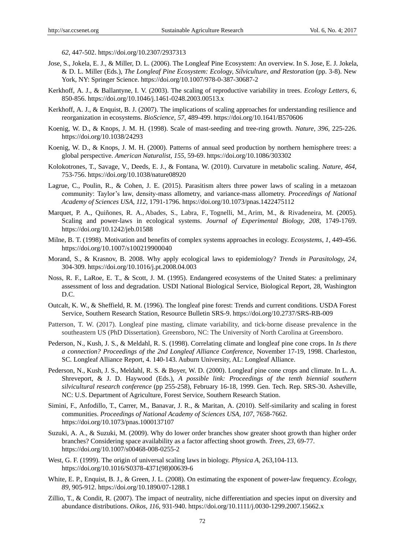*62*, 447-502. https://doi.org/10.2307/2937313

- Jose, S., Jokela, E. J., & Miller, D. L. (2006). The Longleaf Pine Ecosystem: An overview. In S. Jose, E. J. Jokela, & D. L. Miller (Eds.), *The Longleaf Pine Ecosystem: Ecology, Silviculture, and Restoration* (pp. 3-8). New York, NY: Springer Science. https://doi.org/10.1007/978-0-387-30687-2
- Kerkhoff, A. J., & Ballantyne, I. V. (2003). The scaling of reproductive variability in trees. *Ecology Letters, 6*, 850-856. https://doi.org/10.1046/j.1461-0248.2003.00513.x
- Kerkhoff, A. J., & Enquist, B. J. (2007). The implications of scaling approaches for understanding resilience and reorganization in ecosystems. *BioScience, 57*, 489-499. https://doi.org/10.1641/B570606
- Koenig, W. D., & Knops, J. M. H. (1998). Scale of mast-seeding and tree-ring growth. *Nature, 396*, 225-226. https://doi.org/10.1038/24293
- Koenig, W. D., & Knops, J. M. H. (2000). Patterns of annual seed production by northern hemisphere trees: a global perspective. *American Naturalist, 155*, 59-69. https://doi.org/10.1086/303302
- Kolokotrones, T., Savage, V., Deeds, E. J., & Fontana, W. (2010). Curvature in metabolic scaling. *Nature, 464*, 753-756. https://doi.org/10.1038/nature08920
- Lagrue, C., Poulin, R., & Cohen, J. E. (2015). Parasitism alters three power laws of scaling in a metazoan community: Taylor"s law, density-mass allometry, and variance-mass allometry. *Proceedings of National Academy of Sciences USA, 112*, 1791-1796. https://doi.org/10.1073/pnas.1422475112
- Marquet, P. A., Quiñones, R. A., Abades, S., Labra, F., Tognelli, M., Arim, M., & Rivadeneira, M. (2005). Scaling and power-laws in ecological systems. *Journal of Experimental Biology, 208*, 1749-1769. https://doi.org/10.1242/jeb.01588
- Milne, B. T. (1998). Motivation and benefits of complex systems approaches in ecology. *Ecosystems, 1*, 449-456. https://doi.org/10.1007/s100219900040
- Morand, S., & Krasnov, B. 2008. Why apply ecological laws to epidemiology? *Trends in Parasitology, 24*, 304-309. https://doi.org/10.1016/j.pt.2008.04.003
- Noss, R. F., LaRoe, E. T., & Scott, J. M. (1995). Endangered ecosystems of the United States: a preliminary assessment of loss and degradation. USDI National Biological Service, Biological Report, 28, Washington D.C.
- Outcalt, K. W., & Sheffield, R. M. (1996). The longleaf pine forest: Trends and current conditions. USDA Forest Service, Southern Research Station, Resource Bulletin SRS-9. https://doi.org/10.2737/SRS-RB-009
- Patterson, T. W. (2017). Longleaf pine masting, climate variability, and tick-borne disease prevalence in the southeastern US (PhD Dissertation). Greensboro, NC: The University of North Carolina at Greensboro.
- Pederson, N., Kush, J. S., & Meldahl, R. S. (1998). Correlating climate and longleaf pine cone crops. In *Is there a connection? Proceedings of the 2nd Longleaf Alliance Conference,* November 17-19, 1998. Charleston, SC. Longleaf Alliance Report, 4. 140-143. Auburn University, AL: Longleaf Alliance.
- Pederson, N., Kush, J. S., Meldahl, R. S. & Boyer, W. D. (2000). Longleaf pine cone crops and climate. In L. A. Shreveport, & J. D. Haywood (Eds.), *A possible link: Proceedings of the tenth biennial southern silvicultural research conference* (pp 255-258), February 16-18, 1999. Gen. Tech. Rep. SRS-30. Asheville, NC: U.S. Department of Agriculture, Forest Service, Southern Research Station.
- Simini, F., Anfodillo, T., Carrer, M., Banavar, J. R., & Maritan, A. (2010). Self-similarity and scaling in forest communities. *Proceedings of National Academy of Sciences USA, 107*, 7658-7662. https://doi.org/10.1073/pnas.1000137107
- Suzuki, A. A., & Suzuki, M. (2009). Why do lower order branches show greater shoot growth than higher order branches? Considering space availability as a factor affecting shoot growth. *Trees, 23*, 69-77. https://doi.org/10.1007/s00468-008-0255-2
- West, G. F. (1999). The origin of universal scaling laws in biology. *Physica A*, 263,104-113. https://doi.org/10.1016/S0378-4371(98)00639-6
- White, E. P., Enquist, B. J., & Green, J. L. (2008). On estimating the exponent of power-law frequency. *Ecology*, *89*, 905-912. https://doi.org/10.1890/07-1288.1
- Zillio, T., & Condit, R. (2007). The impact of neutrality, niche differentiation and species input on diversity and abundance distributions. *Oikos, 116*, 931-940. https://doi.org/10.1111/j.0030-1299.2007.15662.x